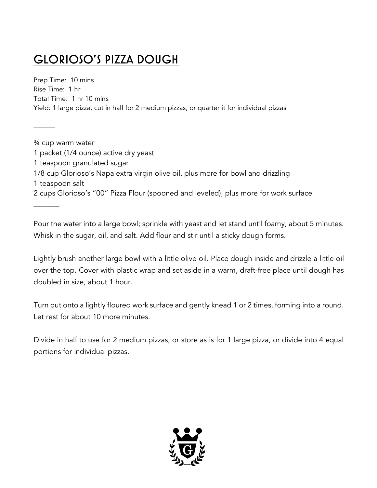# GLORIOSO'S PIZZA DOUGH

\_\_\_\_\_\_\_

Prep Time: 10 mins Rise Time: 1 hr Total Time: 1 hr 10 mins Yield: 1 large pizza, cut in half for 2 medium pizzas, or quarter it for individual pizzas

¾ cup warm water 1 packet (1/4 ounce) active dry yeast 1 teaspoon granulated sugar 1/8 cup Glorioso's Napa extra virgin olive oil, plus more for bowl and drizzling 1 teaspoon salt 2 cups Glorioso's "00" Pizza Flour (spooned and leveled), plus more for work surface  $\overline{\phantom{a}}$ 

Pour the water into a large bowl; sprinkle with yeast and let stand until foamy, about 5 minutes. Whisk in the sugar, oil, and salt. Add flour and stir until a sticky dough forms.

Lightly brush another large bowl with a little olive oil. Place dough inside and drizzle a little oil over the top. Cover with plastic wrap and set aside in a warm, draft-free place until dough has doubled in size, about 1 hour.

Turn out onto a lightly floured work surface and gently knead 1 or 2 times, forming into a round. Let rest for about 10 more minutes.

Divide in half to use for 2 medium pizzas, or store as is for 1 large pizza, or divide into 4 equal portions for individual pizzas.

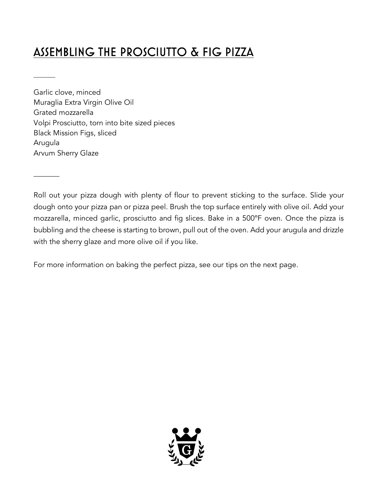## ASSEMBLING THE PROSCIUTTO & FIG PIZZA

Garlic clove, minced Muraglia Extra Virgin Olive Oil Grated mozzarella Volpi Prosciutto, torn into bite sized pieces Black Mission Figs, sliced Arugula Arvum Sherry Glaze

\_\_\_\_\_\_\_

 $\overline{\phantom{a}}$ 

Roll out your pizza dough with plenty of flour to prevent sticking to the surface. Slide your dough onto your pizza pan or pizza peel. Brush the top surface entirely with olive oil. Add your mozzarella, minced garlic, prosciutto and fig slices. Bake in a 500ºF oven. Once the pizza is bubbling and the cheese is starting to brown, pull out of the oven. Add your arugula and drizzle with the sherry glaze and more olive oil if you like.

For more information on baking the perfect pizza, see our tips on the next page.